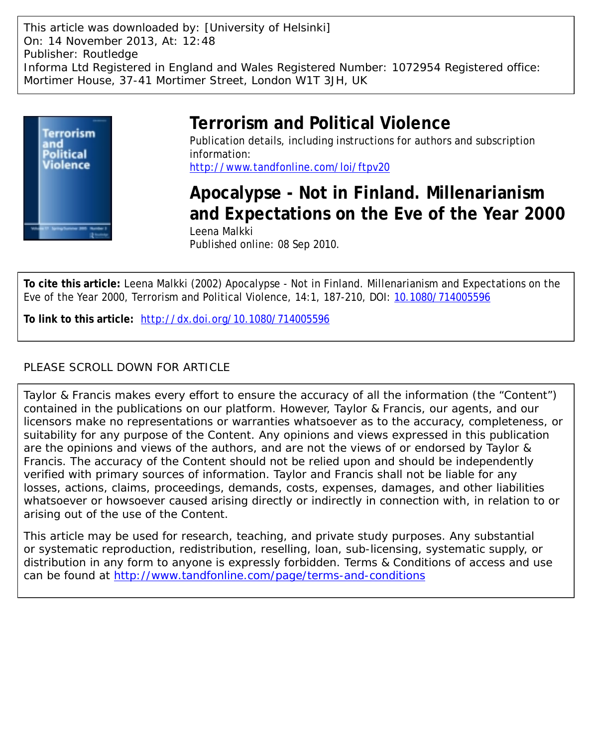This article was downloaded by: [University of Helsinki] On: 14 November 2013, At: 12:48 Publisher: Routledge Informa Ltd Registered in England and Wales Registered Number: 1072954 Registered office: Mortimer House, 37-41 Mortimer Street, London W1T 3JH, UK



# **Terrorism and Political Violence**

Publication details, including instructions for authors and subscription information: <http://www.tandfonline.com/loi/ftpv20>

**Apocalypse - Not in Finland. Millenarianism and Expectations on the Eve of the Year 2000** Leena Malkki

Published online: 08 Sep 2010.

**To cite this article:** Leena Malkki (2002) Apocalypse - Not in Finland. Millenarianism and Expectations on the Eve of the Year 2000, Terrorism and Political Violence, 14:1, 187-210, DOI: [10.1080/714005596](http://www.tandfonline.com/action/showCitFormats?doi=10.1080/714005596)

**To link to this article:** <http://dx.doi.org/10.1080/714005596>

# PLEASE SCROLL DOWN FOR ARTICLE

Taylor & Francis makes every effort to ensure the accuracy of all the information (the "Content") contained in the publications on our platform. However, Taylor & Francis, our agents, and our licensors make no representations or warranties whatsoever as to the accuracy, completeness, or suitability for any purpose of the Content. Any opinions and views expressed in this publication are the opinions and views of the authors, and are not the views of or endorsed by Taylor & Francis. The accuracy of the Content should not be relied upon and should be independently verified with primary sources of information. Taylor and Francis shall not be liable for any losses, actions, claims, proceedings, demands, costs, expenses, damages, and other liabilities whatsoever or howsoever caused arising directly or indirectly in connection with, in relation to or arising out of the use of the Content.

This article may be used for research, teaching, and private study purposes. Any substantial or systematic reproduction, redistribution, reselling, loan, sub-licensing, systematic supply, or distribution in any form to anyone is expressly forbidden. Terms & Conditions of access and use can be found at <http://www.tandfonline.com/page/terms-and-conditions>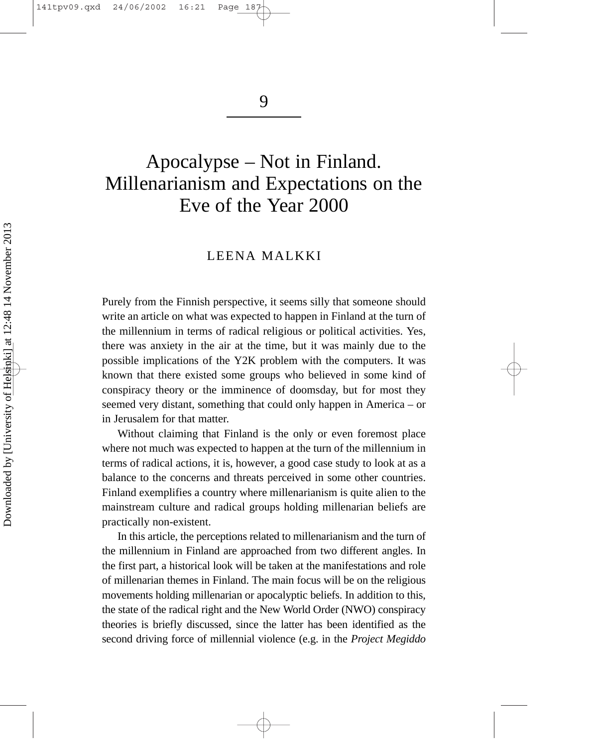# Apocalypse – Not in Finland. Millenarianism and Expectations on the Eve of the Year 2000

# LEENA MALKKI

Purely from the Finnish perspective, it seems silly that someone should write an article on what was expected to happen in Finland at the turn of the millennium in terms of radical religious or political activities. Yes, there was anxiety in the air at the time, but it was mainly due to the possible implications of the Y2K problem with the computers. It was known that there existed some groups who believed in some kind of conspiracy theory or the imminence of doomsday, but for most they seemed very distant, something that could only happen in America – or in Jerusalem for that matter.

Without claiming that Finland is the only or even foremost place where not much was expected to happen at the turn of the millennium in terms of radical actions, it is, however, a good case study to look at as a balance to the concerns and threats perceived in some other countries. Finland exemplifies a country where millenarianism is quite alien to the mainstream culture and radical groups holding millenarian beliefs are practically non-existent.

In this article, the perceptions related to millenarianism and the turn of the millennium in Finland are approached from two different angles. In the first part, a historical look will be taken at the manifestations and role of millenarian themes in Finland. The main focus will be on the religious movements holding millenarian or apocalyptic beliefs. In addition to this, the state of the radical right and the New World Order (NWO) conspiracy theories is briefly discussed, since the latter has been identified as the second driving force of millennial violence (e.g. in the *Project Megiddo*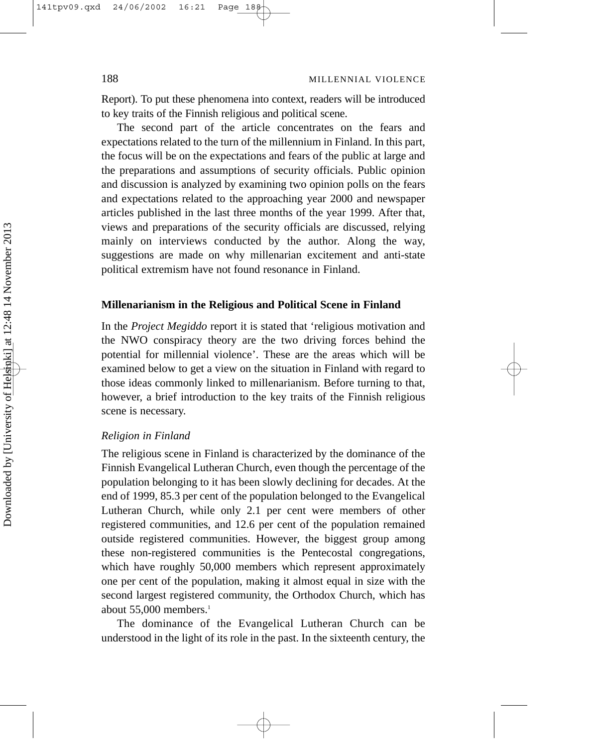Report). To put these phenomena into context, readers will be introduced to key traits of the Finnish religious and political scene.

The second part of the article concentrates on the fears and expectations related to the turn of the millennium in Finland. In this part, the focus will be on the expectations and fears of the public at large and the preparations and assumptions of security officials. Public opinion and discussion is analyzed by examining two opinion polls on the fears and expectations related to the approaching year 2000 and newspaper articles published in the last three months of the year 1999. After that, views and preparations of the security officials are discussed, relying mainly on interviews conducted by the author. Along the way, suggestions are made on why millenarian excitement and anti-state political extremism have not found resonance in Finland.

#### **Millenarianism in the Religious and Political Scene in Finland**

In the *Project Megiddo* report it is stated that 'religious motivation and the NWO conspiracy theory are the two driving forces behind the potential for millennial violence'. These are the areas which will be examined below to get a view on the situation in Finland with regard to those ideas commonly linked to millenarianism. Before turning to that, however, a brief introduction to the key traits of the Finnish religious scene is necessary.

#### *Religion in Finland*

The religious scene in Finland is characterized by the dominance of the Finnish Evangelical Lutheran Church, even though the percentage of the population belonging to it has been slowly declining for decades. At the end of 1999, 85.3 per cent of the population belonged to the Evangelical Lutheran Church, while only 2.1 per cent were members of other registered communities, and 12.6 per cent of the population remained outside registered communities. However, the biggest group among these non-registered communities is the Pentecostal congregations, which have roughly 50,000 members which represent approximately one per cent of the population, making it almost equal in size with the second largest registered community, the Orthodox Church, which has about 55,000 members.<sup>1</sup>

The dominance of the Evangelical Lutheran Church can be understood in the light of its role in the past. In the sixteenth century, the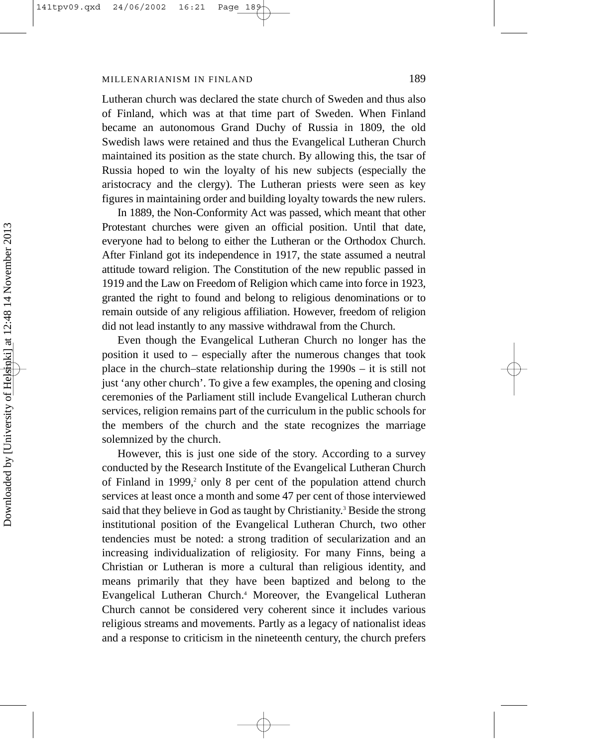Lutheran church was declared the state church of Sweden and thus also of Finland, which was at that time part of Sweden. When Finland became an autonomous Grand Duchy of Russia in 1809, the old Swedish laws were retained and thus the Evangelical Lutheran Church maintained its position as the state church. By allowing this, the tsar of Russia hoped to win the loyalty of his new subjects (especially the aristocracy and the clergy). The Lutheran priests were seen as key figures in maintaining order and building loyalty towards the new rulers.

In 1889, the Non-Conformity Act was passed, which meant that other Protestant churches were given an official position. Until that date, everyone had to belong to either the Lutheran or the Orthodox Church. After Finland got its independence in 1917, the state assumed a neutral attitude toward religion. The Constitution of the new republic passed in 1919 and the Law on Freedom of Religion which came into force in 1923, granted the right to found and belong to religious denominations or to remain outside of any religious affiliation. However, freedom of religion did not lead instantly to any massive withdrawal from the Church.

Even though the Evangelical Lutheran Church no longer has the position it used to – especially after the numerous changes that took place in the church–state relationship during the 1990s – it is still not just 'any other church'. To give a few examples, the opening and closing ceremonies of the Parliament still include Evangelical Lutheran church services, religion remains part of the curriculum in the public schools for the members of the church and the state recognizes the marriage solemnized by the church.

However, this is just one side of the story. According to a survey conducted by the Research Institute of the Evangelical Lutheran Church of Finland in 1999, $2$  only 8 per cent of the population attend church services at least once a month and some 47 per cent of those interviewed said that they believe in God as taught by Christianity.<sup>3</sup> Beside the strong institutional position of the Evangelical Lutheran Church, two other tendencies must be noted: a strong tradition of secularization and an increasing individualization of religiosity. For many Finns, being a Christian or Lutheran is more a cultural than religious identity, and means primarily that they have been baptized and belong to the Evangelical Lutheran Church.4 Moreover, the Evangelical Lutheran Church cannot be considered very coherent since it includes various religious streams and movements. Partly as a legacy of nationalist ideas and a response to criticism in the nineteenth century, the church prefers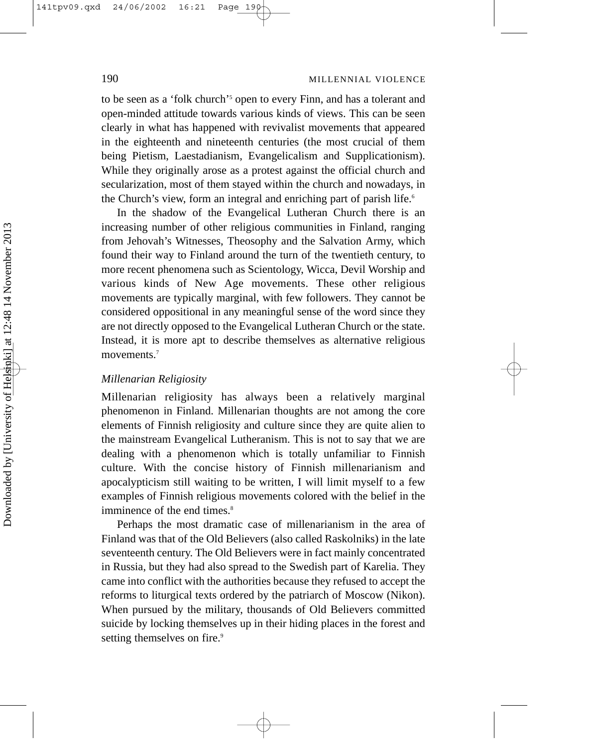to be seen as a 'folk church'5 open to every Finn, and has a tolerant and open-minded attitude towards various kinds of views. This can be seen clearly in what has happened with revivalist movements that appeared in the eighteenth and nineteenth centuries (the most crucial of them being Pietism, Laestadianism, Evangelicalism and Supplicationism). While they originally arose as a protest against the official church and secularization, most of them stayed within the church and nowadays, in the Church's view, form an integral and enriching part of parish life.<sup>6</sup>

In the shadow of the Evangelical Lutheran Church there is an increasing number of other religious communities in Finland, ranging from Jehovah's Witnesses, Theosophy and the Salvation Army, which found their way to Finland around the turn of the twentieth century, to more recent phenomena such as Scientology, Wicca, Devil Worship and various kinds of New Age movements. These other religious movements are typically marginal, with few followers. They cannot be considered oppositional in any meaningful sense of the word since they are not directly opposed to the Evangelical Lutheran Church or the state. Instead, it is more apt to describe themselves as alternative religious movements.<sup>7</sup>

#### *Millenarian Religiosity*

Millenarian religiosity has always been a relatively marginal phenomenon in Finland. Millenarian thoughts are not among the core elements of Finnish religiosity and culture since they are quite alien to the mainstream Evangelical Lutheranism. This is not to say that we are dealing with a phenomenon which is totally unfamiliar to Finnish culture. With the concise history of Finnish millenarianism and apocalypticism still waiting to be written, I will limit myself to a few examples of Finnish religious movements colored with the belief in the imminence of the end times.<sup>8</sup>

Perhaps the most dramatic case of millenarianism in the area of Finland was that of the Old Believers (also called Raskolniks) in the late seventeenth century. The Old Believers were in fact mainly concentrated in Russia, but they had also spread to the Swedish part of Karelia. They came into conflict with the authorities because they refused to accept the reforms to liturgical texts ordered by the patriarch of Moscow (Nikon). When pursued by the military, thousands of Old Believers committed suicide by locking themselves up in their hiding places in the forest and setting themselves on fire.<sup>9</sup>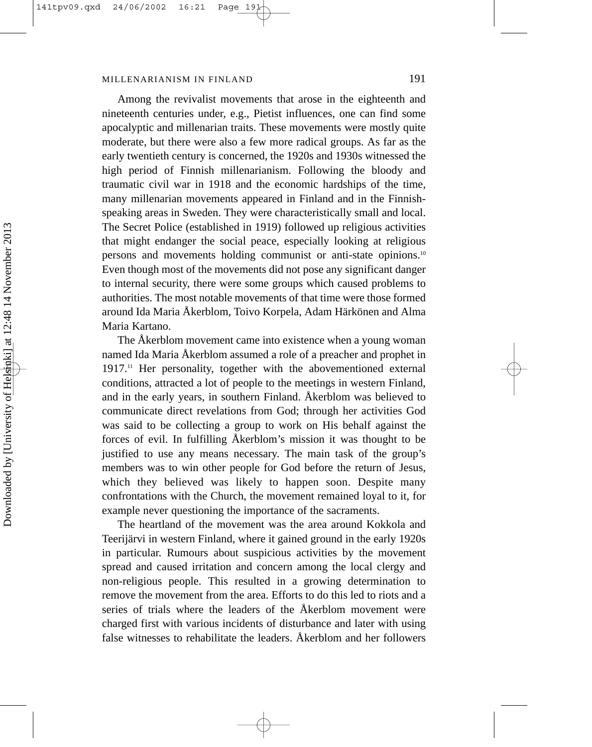# 141tpv09.qxd 24/06/2002 16:21 Page 191

## MILLENARIANISM IN FINLAND 191

Among the revivalist movements that arose in the eighteenth and nineteenth centuries under, e.g., Pietist influences, one can find some apocalyptic and millenarian traits. These movements were mostly quite moderate, but there were also a few more radical groups. As far as the early twentieth century is concerned, the 1920s and 1930s witnessed the high period of Finnish millenarianism. Following the bloody and traumatic civil war in 1918 and the economic hardships of the time, many millenarian movements appeared in Finland and in the Finnishspeaking areas in Sweden. They were characteristically small and local. The Secret Police (established in 1919) followed up religious activities that might endanger the social peace, especially looking at religious persons and movements holding communist or anti-state opinions.10 Even though most of the movements did not pose any significant danger to internal security, there were some groups which caused problems to authorities. The most notable movements of that time were those formed around Ida Maria Åkerblom, Toivo Korpela, Adam Härkönen and Alma Maria Kartano.

The Åkerblom movement came into existence when a young woman named Ida Maria Åkerblom assumed a role of a preacher and prophet in 1917.11 Her personality, together with the abovementioned external conditions, attracted a lot of people to the meetings in western Finland, and in the early years, in southern Finland. Åkerblom was believed to communicate direct revelations from God; through her activities God was said to be collecting a group to work on His behalf against the forces of evil. In fulfilling Åkerblom's mission it was thought to be justified to use any means necessary. The main task of the group's members was to win other people for God before the return of Jesus, which they believed was likely to happen soon. Despite many confrontations with the Church, the movement remained loyal to it, for example never questioning the importance of the sacraments.

The heartland of the movement was the area around Kokkola and Teerijärvi in western Finland, where it gained ground in the early 1920s in particular. Rumours about suspicious activities by the movement spread and caused irritation and concern among the local clergy and non-religious people. This resulted in a growing determination to remove the movement from the area. Efforts to do this led to riots and a series of trials where the leaders of the Åkerblom movement were charged first with various incidents of disturbance and later with using false witnesses to rehabilitate the leaders. Åkerblom and her followers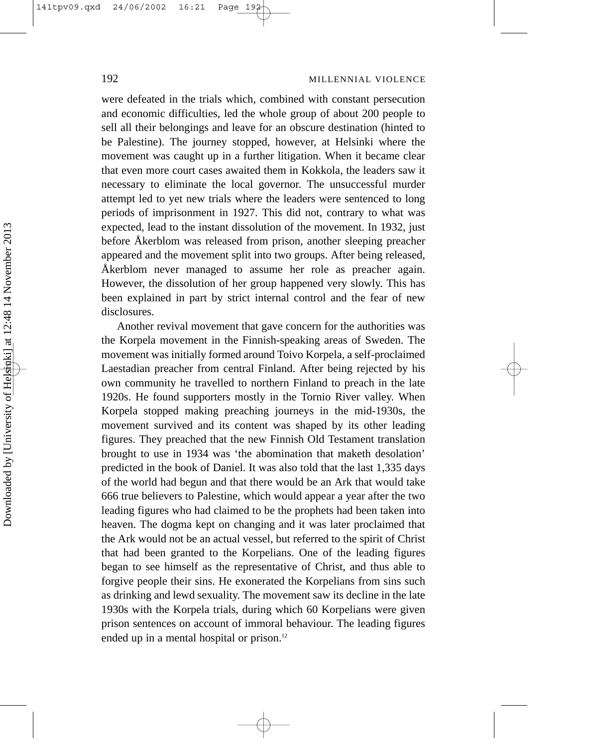were defeated in the trials which, combined with constant persecution and economic difficulties, led the whole group of about 200 people to sell all their belongings and leave for an obscure destination (hinted to be Palestine). The journey stopped, however, at Helsinki where the movement was caught up in a further litigation. When it became clear that even more court cases awaited them in Kokkola, the leaders saw it necessary to eliminate the local governor. The unsuccessful murder attempt led to yet new trials where the leaders were sentenced to long periods of imprisonment in 1927. This did not, contrary to what was expected, lead to the instant dissolution of the movement. In 1932, just before Åkerblom was released from prison, another sleeping preacher appeared and the movement split into two groups. After being released, Åkerblom never managed to assume her role as preacher again. However, the dissolution of her group happened very slowly. This has been explained in part by strict internal control and the fear of new disclosures.

Another revival movement that gave concern for the authorities was the Korpela movement in the Finnish-speaking areas of Sweden. The movement was initially formed around Toivo Korpela, a self-proclaimed Laestadian preacher from central Finland. After being rejected by his own community he travelled to northern Finland to preach in the late 1920s. He found supporters mostly in the Tornio River valley. When Korpela stopped making preaching journeys in the mid-1930s, the movement survived and its content was shaped by its other leading figures. They preached that the new Finnish Old Testament translation brought to use in 1934 was 'the abomination that maketh desolation' predicted in the book of Daniel. It was also told that the last 1,335 days of the world had begun and that there would be an Ark that would take 666 true believers to Palestine, which would appear a year after the two leading figures who had claimed to be the prophets had been taken into heaven. The dogma kept on changing and it was later proclaimed that the Ark would not be an actual vessel, but referred to the spirit of Christ that had been granted to the Korpelians. One of the leading figures began to see himself as the representative of Christ, and thus able to forgive people their sins. He exonerated the Korpelians from sins such as drinking and lewd sexuality. The movement saw its decline in the late 1930s with the Korpela trials, during which 60 Korpelians were given prison sentences on account of immoral behaviour. The leading figures ended up in a mental hospital or prison.<sup>12</sup>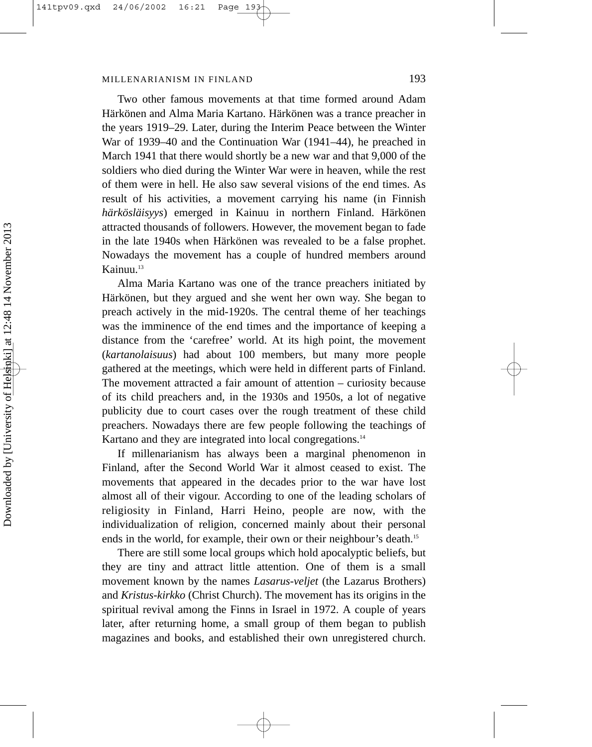Two other famous movements at that time formed around Adam Härkönen and Alma Maria Kartano. Härkönen was a trance preacher in the years 1919–29. Later, during the Interim Peace between the Winter War of 1939–40 and the Continuation War (1941–44), he preached in March 1941 that there would shortly be a new war and that 9,000 of the soldiers who died during the Winter War were in heaven, while the rest of them were in hell. He also saw several visions of the end times. As result of his activities, a movement carrying his name (in Finnish *härkösläisyys*) emerged in Kainuu in northern Finland. Härkönen attracted thousands of followers. However, the movement began to fade in the late 1940s when Härkönen was revealed to be a false prophet. Nowadays the movement has a couple of hundred members around Kainuu.<sup>13</sup>

Alma Maria Kartano was one of the trance preachers initiated by Härkönen, but they argued and she went her own way. She began to preach actively in the mid-1920s. The central theme of her teachings was the imminence of the end times and the importance of keeping a distance from the 'carefree' world. At its high point, the movement (*kartanolaisuus*) had about 100 members, but many more people gathered at the meetings, which were held in different parts of Finland. The movement attracted a fair amount of attention – curiosity because of its child preachers and, in the 1930s and 1950s, a lot of negative publicity due to court cases over the rough treatment of these child preachers. Nowadays there are few people following the teachings of Kartano and they are integrated into local congregations.<sup>14</sup>

If millenarianism has always been a marginal phenomenon in Finland, after the Second World War it almost ceased to exist. The movements that appeared in the decades prior to the war have lost almost all of their vigour. According to one of the leading scholars of religiosity in Finland, Harri Heino, people are now, with the individualization of religion, concerned mainly about their personal ends in the world, for example, their own or their neighbour's death.15

There are still some local groups which hold apocalyptic beliefs, but they are tiny and attract little attention. One of them is a small movement known by the names *Lasarus-veljet* (the Lazarus Brothers) and *Kristus-kirkko* (Christ Church). The movement has its origins in the spiritual revival among the Finns in Israel in 1972. A couple of years later, after returning home, a small group of them began to publish magazines and books, and established their own unregistered church.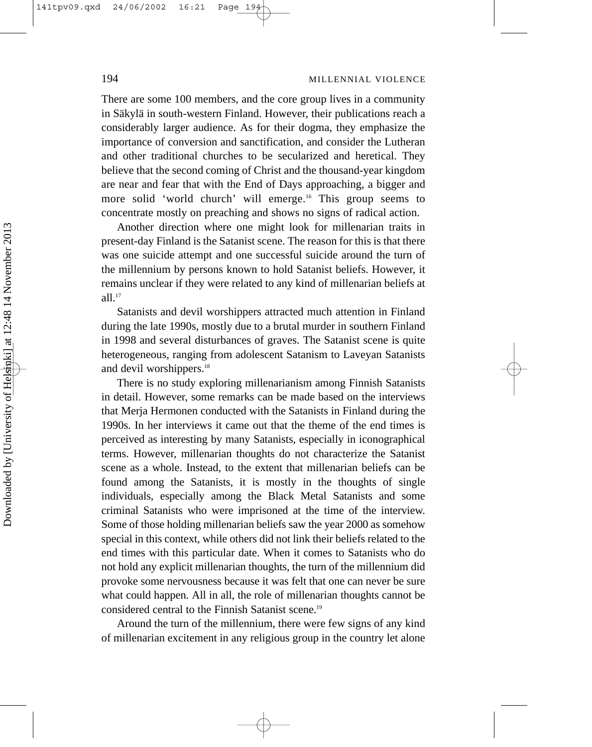There are some 100 members, and the core group lives in a community in Säkylä in south-western Finland. However, their publications reach a considerably larger audience. As for their dogma, they emphasize the importance of conversion and sanctification, and consider the Lutheran and other traditional churches to be secularized and heretical. They believe that the second coming of Christ and the thousand-year kingdom are near and fear that with the End of Days approaching, a bigger and more solid 'world church' will emerge.<sup>16</sup> This group seems to concentrate mostly on preaching and shows no signs of radical action.

Another direction where one might look for millenarian traits in present-day Finland is the Satanist scene. The reason for this is that there was one suicide attempt and one successful suicide around the turn of the millennium by persons known to hold Satanist beliefs. However, it remains unclear if they were related to any kind of millenarian beliefs at  $all.<sup>17</sup>$ 

Satanists and devil worshippers attracted much attention in Finland during the late 1990s, mostly due to a brutal murder in southern Finland in 1998 and several disturbances of graves. The Satanist scene is quite heterogeneous, ranging from adolescent Satanism to Laveyan Satanists and devil worshippers.<sup>18</sup>

There is no study exploring millenarianism among Finnish Satanists in detail. However, some remarks can be made based on the interviews that Merja Hermonen conducted with the Satanists in Finland during the 1990s. In her interviews it came out that the theme of the end times is perceived as interesting by many Satanists, especially in iconographical terms. However, millenarian thoughts do not characterize the Satanist scene as a whole. Instead, to the extent that millenarian beliefs can be found among the Satanists, it is mostly in the thoughts of single individuals, especially among the Black Metal Satanists and some criminal Satanists who were imprisoned at the time of the interview. Some of those holding millenarian beliefs saw the year 2000 as somehow special in this context, while others did not link their beliefs related to the end times with this particular date. When it comes to Satanists who do not hold any explicit millenarian thoughts, the turn of the millennium did provoke some nervousness because it was felt that one can never be sure what could happen. All in all, the role of millenarian thoughts cannot be considered central to the Finnish Satanist scene.19

Around the turn of the millennium, there were few signs of any kind of millenarian excitement in any religious group in the country let alone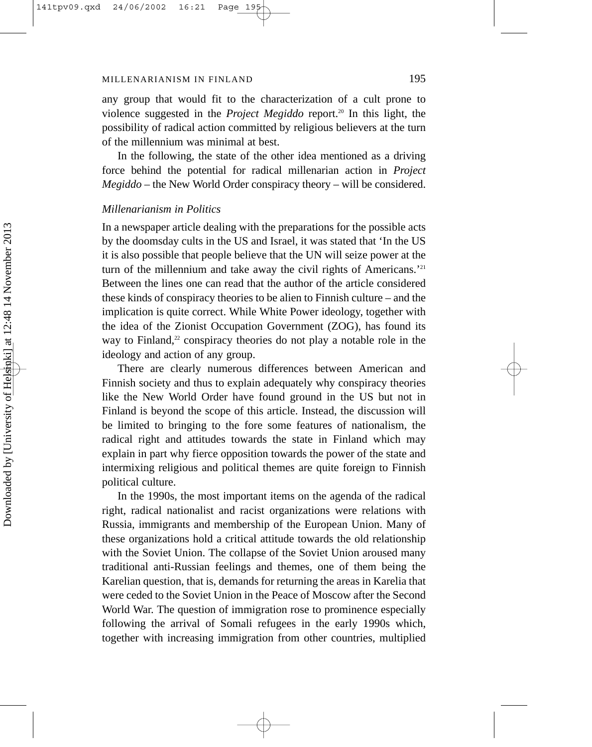any group that would fit to the characterization of a cult prone to violence suggested in the *Project Megiddo* report.20 In this light, the possibility of radical action committed by religious believers at the turn of the millennium was minimal at best.

In the following, the state of the other idea mentioned as a driving force behind the potential for radical millenarian action in *Project Megiddo* – the New World Order conspiracy theory – will be considered.

#### *Millenarianism in Politics*

In a newspaper article dealing with the preparations for the possible acts by the doomsday cults in the US and Israel, it was stated that 'In the US it is also possible that people believe that the UN will seize power at the turn of the millennium and take away the civil rights of Americans.'21 Between the lines one can read that the author of the article considered these kinds of conspiracy theories to be alien to Finnish culture – and the implication is quite correct. While White Power ideology, together with the idea of the Zionist Occupation Government (ZOG), has found its way to Finland,<sup>22</sup> conspiracy theories do not play a notable role in the ideology and action of any group.

There are clearly numerous differences between American and Finnish society and thus to explain adequately why conspiracy theories like the New World Order have found ground in the US but not in Finland is beyond the scope of this article. Instead, the discussion will be limited to bringing to the fore some features of nationalism, the radical right and attitudes towards the state in Finland which may explain in part why fierce opposition towards the power of the state and intermixing religious and political themes are quite foreign to Finnish political culture.

In the 1990s, the most important items on the agenda of the radical right, radical nationalist and racist organizations were relations with Russia, immigrants and membership of the European Union. Many of these organizations hold a critical attitude towards the old relationship with the Soviet Union. The collapse of the Soviet Union aroused many traditional anti-Russian feelings and themes, one of them being the Karelian question, that is, demands for returning the areas in Karelia that were ceded to the Soviet Union in the Peace of Moscow after the Second World War. The question of immigration rose to prominence especially following the arrival of Somali refugees in the early 1990s which, together with increasing immigration from other countries, multiplied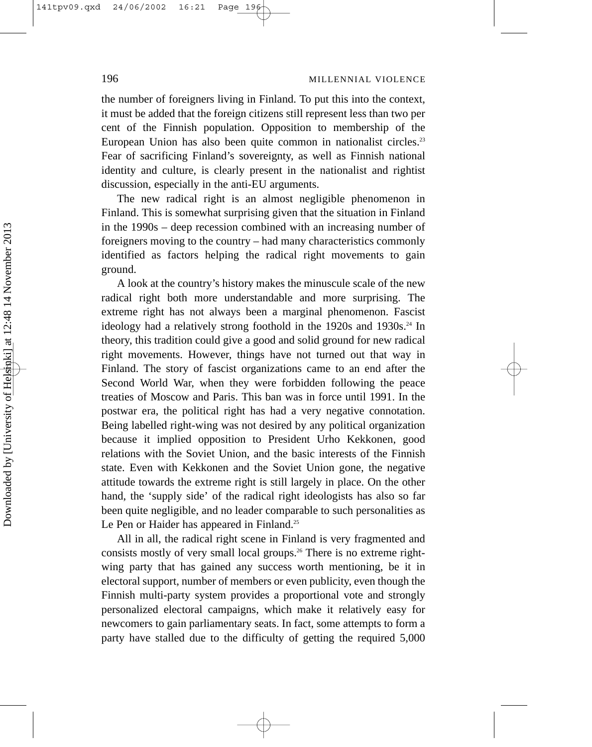the number of foreigners living in Finland. To put this into the context, it must be added that the foreign citizens still represent less than two per cent of the Finnish population. Opposition to membership of the European Union has also been quite common in nationalist circles.<sup>23</sup> Fear of sacrificing Finland's sovereignty, as well as Finnish national identity and culture, is clearly present in the nationalist and rightist discussion, especially in the anti-EU arguments.

The new radical right is an almost negligible phenomenon in Finland. This is somewhat surprising given that the situation in Finland in the 1990s – deep recession combined with an increasing number of foreigners moving to the country – had many characteristics commonly identified as factors helping the radical right movements to gain ground.

A look at the country's history makes the minuscule scale of the new radical right both more understandable and more surprising. The extreme right has not always been a marginal phenomenon. Fascist ideology had a relatively strong foothold in the 1920s and 1930s.<sup>24</sup> In theory, this tradition could give a good and solid ground for new radical right movements. However, things have not turned out that way in Finland. The story of fascist organizations came to an end after the Second World War, when they were forbidden following the peace treaties of Moscow and Paris. This ban was in force until 1991. In the postwar era, the political right has had a very negative connotation. Being labelled right-wing was not desired by any political organization because it implied opposition to President Urho Kekkonen, good relations with the Soviet Union, and the basic interests of the Finnish state. Even with Kekkonen and the Soviet Union gone, the negative attitude towards the extreme right is still largely in place. On the other hand, the 'supply side' of the radical right ideologists has also so far been quite negligible, and no leader comparable to such personalities as Le Pen or Haider has appeared in Finland.<sup>25</sup>

All in all, the radical right scene in Finland is very fragmented and consists mostly of very small local groups.26 There is no extreme rightwing party that has gained any success worth mentioning, be it in electoral support, number of members or even publicity, even though the Finnish multi-party system provides a proportional vote and strongly personalized electoral campaigns, which make it relatively easy for newcomers to gain parliamentary seats. In fact, some attempts to form a party have stalled due to the difficulty of getting the required 5,000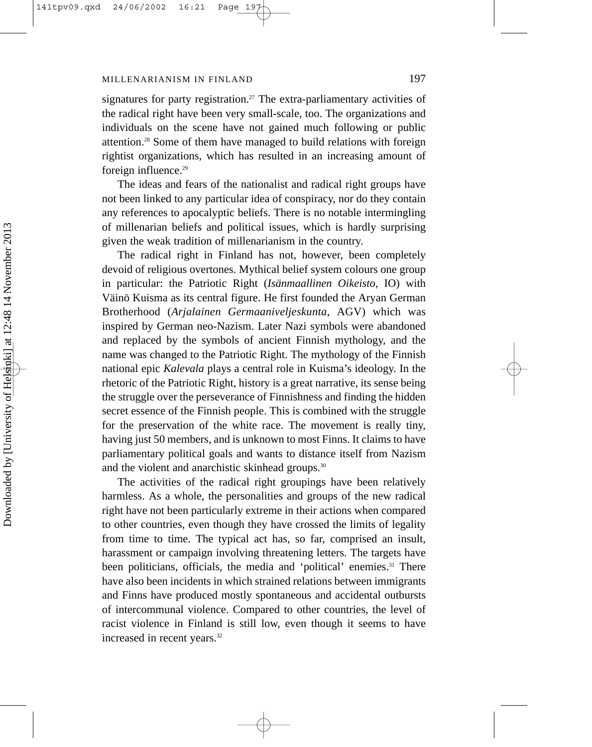141tpv09.qxd 24/06/2002 16:21 Page 197

signatures for party registration.<sup>27</sup> The extra-parliamentary activities of the radical right have been very small-scale, too. The organizations and individuals on the scene have not gained much following or public attention.28 Some of them have managed to build relations with foreign rightist organizations, which has resulted in an increasing amount of foreign influence.<sup>29</sup>

The ideas and fears of the nationalist and radical right groups have not been linked to any particular idea of conspiracy, nor do they contain any references to apocalyptic beliefs. There is no notable intermingling of millenarian beliefs and political issues, which is hardly surprising given the weak tradition of millenarianism in the country.

The radical right in Finland has not, however, been completely devoid of religious overtones. Mythical belief system colours one group in particular: the Patriotic Right (*Isänmaallinen Oikeisto*, IO) with Väinö Kuisma as its central figure. He first founded the Aryan German Brotherhood (*Arjalainen Germaaniveljeskunta*, AGV) which was inspired by German neo-Nazism. Later Nazi symbols were abandoned and replaced by the symbols of ancient Finnish mythology, and the name was changed to the Patriotic Right. The mythology of the Finnish national epic *Kalevala* plays a central role in Kuisma's ideology. In the rhetoric of the Patriotic Right, history is a great narrative, its sense being the struggle over the perseverance of Finnishness and finding the hidden secret essence of the Finnish people. This is combined with the struggle for the preservation of the white race. The movement is really tiny, having just 50 members, and is unknown to most Finns. It claims to have parliamentary political goals and wants to distance itself from Nazism and the violent and anarchistic skinhead groups.<sup>30</sup>

The activities of the radical right groupings have been relatively harmless. As a whole, the personalities and groups of the new radical right have not been particularly extreme in their actions when compared to other countries, even though they have crossed the limits of legality from time to time. The typical act has, so far, comprised an insult, harassment or campaign involving threatening letters. The targets have been politicians, officials, the media and 'political' enemies.<sup>31</sup> There have also been incidents in which strained relations between immigrants and Finns have produced mostly spontaneous and accidental outbursts of intercommunal violence. Compared to other countries, the level of racist violence in Finland is still low, even though it seems to have increased in recent years.<sup>32</sup>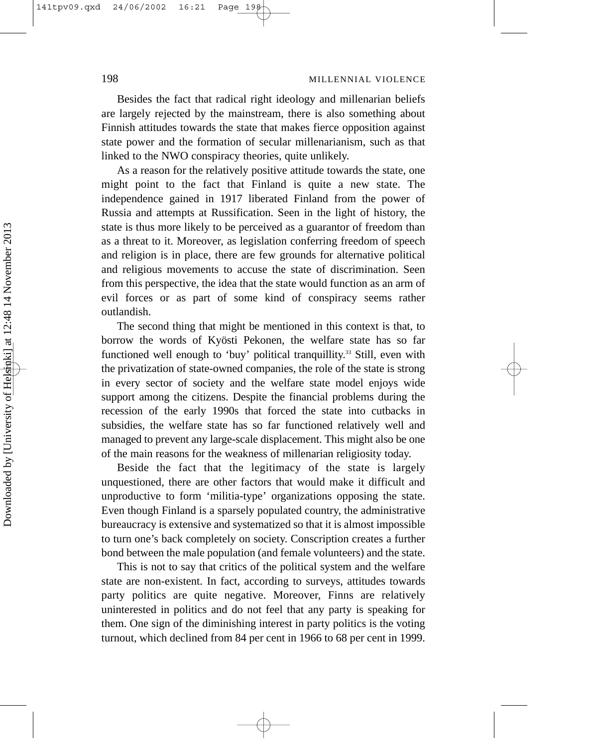Besides the fact that radical right ideology and millenarian beliefs are largely rejected by the mainstream, there is also something about Finnish attitudes towards the state that makes fierce opposition against state power and the formation of secular millenarianism, such as that linked to the NWO conspiracy theories, quite unlikely.

As a reason for the relatively positive attitude towards the state, one might point to the fact that Finland is quite a new state. The independence gained in 1917 liberated Finland from the power of Russia and attempts at Russification. Seen in the light of history, the state is thus more likely to be perceived as a guarantor of freedom than as a threat to it. Moreover, as legislation conferring freedom of speech and religion is in place, there are few grounds for alternative political and religious movements to accuse the state of discrimination. Seen from this perspective, the idea that the state would function as an arm of evil forces or as part of some kind of conspiracy seems rather outlandish.

The second thing that might be mentioned in this context is that, to borrow the words of Kyösti Pekonen, the welfare state has so far functioned well enough to 'buy' political tranquillity.<sup>33</sup> Still, even with the privatization of state-owned companies, the role of the state is strong in every sector of society and the welfare state model enjoys wide support among the citizens. Despite the financial problems during the recession of the early 1990s that forced the state into cutbacks in subsidies, the welfare state has so far functioned relatively well and managed to prevent any large-scale displacement. This might also be one of the main reasons for the weakness of millenarian religiosity today.

Beside the fact that the legitimacy of the state is largely unquestioned, there are other factors that would make it difficult and unproductive to form 'militia-type' organizations opposing the state. Even though Finland is a sparsely populated country, the administrative bureaucracy is extensive and systematized so that it is almost impossible to turn one's back completely on society. Conscription creates a further bond between the male population (and female volunteers) and the state.

This is not to say that critics of the political system and the welfare state are non-existent. In fact, according to surveys, attitudes towards party politics are quite negative. Moreover, Finns are relatively uninterested in politics and do not feel that any party is speaking for them. One sign of the diminishing interest in party politics is the voting turnout, which declined from 84 per cent in 1966 to 68 per cent in 1999.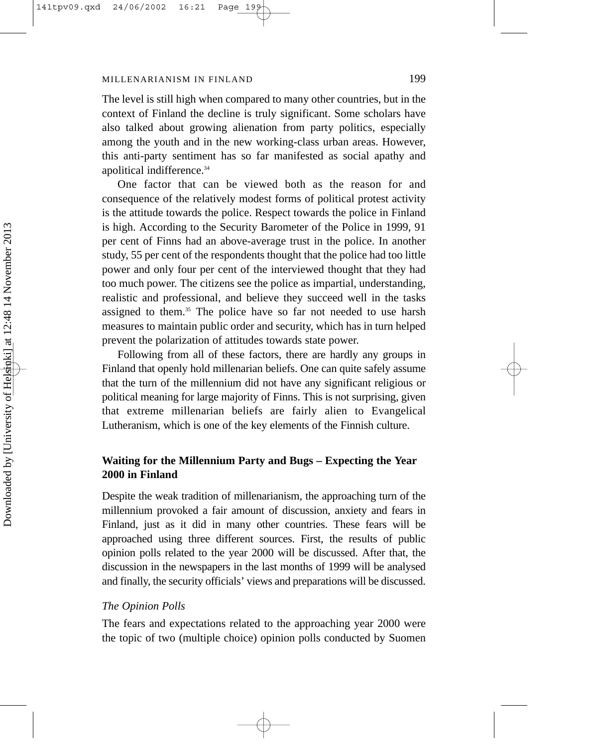The level is still high when compared to many other countries, but in the context of Finland the decline is truly significant. Some scholars have also talked about growing alienation from party politics, especially among the youth and in the new working-class urban areas. However, this anti-party sentiment has so far manifested as social apathy and apolitical indifference.34

One factor that can be viewed both as the reason for and consequence of the relatively modest forms of political protest activity is the attitude towards the police. Respect towards the police in Finland is high. According to the Security Barometer of the Police in 1999, 91 per cent of Finns had an above-average trust in the police. In another study, 55 per cent of the respondents thought that the police had too little power and only four per cent of the interviewed thought that they had too much power. The citizens see the police as impartial, understanding, realistic and professional, and believe they succeed well in the tasks assigned to them.<sup>35</sup> The police have so far not needed to use harsh measures to maintain public order and security, which has in turn helped prevent the polarization of attitudes towards state power.

Following from all of these factors, there are hardly any groups in Finland that openly hold millenarian beliefs. One can quite safely assume that the turn of the millennium did not have any significant religious or political meaning for large majority of Finns. This is not surprising, given that extreme millenarian beliefs are fairly alien to Evangelical Lutheranism, which is one of the key elements of the Finnish culture.

## **Waiting for the Millennium Party and Bugs – Expecting the Year 2000 in Finland**

Despite the weak tradition of millenarianism, the approaching turn of the millennium provoked a fair amount of discussion, anxiety and fears in Finland, just as it did in many other countries. These fears will be approached using three different sources. First, the results of public opinion polls related to the year 2000 will be discussed. After that, the discussion in the newspapers in the last months of 1999 will be analysed and finally, the security officials' views and preparations will be discussed.

#### *The Opinion Polls*

The fears and expectations related to the approaching year 2000 were the topic of two (multiple choice) opinion polls conducted by Suomen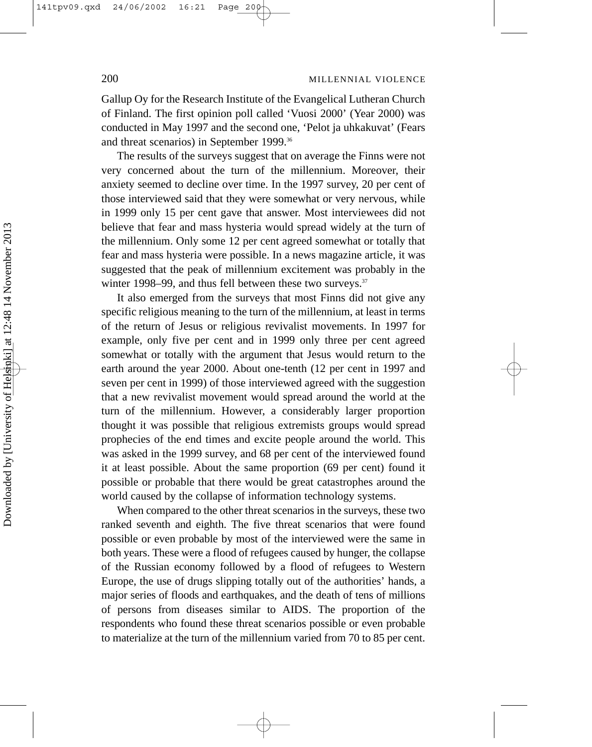Gallup Oy for the Research Institute of the Evangelical Lutheran Church of Finland. The first opinion poll called 'Vuosi 2000' (Year 2000) was conducted in May 1997 and the second one, 'Pelot ja uhkakuvat' (Fears and threat scenarios) in September 1999.36

The results of the surveys suggest that on average the Finns were not very concerned about the turn of the millennium. Moreover, their anxiety seemed to decline over time. In the 1997 survey, 20 per cent of those interviewed said that they were somewhat or very nervous, while in 1999 only 15 per cent gave that answer. Most interviewees did not believe that fear and mass hysteria would spread widely at the turn of the millennium. Only some 12 per cent agreed somewhat or totally that fear and mass hysteria were possible. In a news magazine article, it was suggested that the peak of millennium excitement was probably in the winter 1998–99, and thus fell between these two surveys. $37$ 

It also emerged from the surveys that most Finns did not give any specific religious meaning to the turn of the millennium, at least in terms of the return of Jesus or religious revivalist movements. In 1997 for example, only five per cent and in 1999 only three per cent agreed somewhat or totally with the argument that Jesus would return to the earth around the year 2000. About one-tenth (12 per cent in 1997 and seven per cent in 1999) of those interviewed agreed with the suggestion that a new revivalist movement would spread around the world at the turn of the millennium. However, a considerably larger proportion thought it was possible that religious extremists groups would spread prophecies of the end times and excite people around the world. This was asked in the 1999 survey, and 68 per cent of the interviewed found it at least possible. About the same proportion (69 per cent) found it possible or probable that there would be great catastrophes around the world caused by the collapse of information technology systems.

When compared to the other threat scenarios in the surveys, these two ranked seventh and eighth. The five threat scenarios that were found possible or even probable by most of the interviewed were the same in both years. These were a flood of refugees caused by hunger, the collapse of the Russian economy followed by a flood of refugees to Western Europe, the use of drugs slipping totally out of the authorities' hands, a major series of floods and earthquakes, and the death of tens of millions of persons from diseases similar to AIDS. The proportion of the respondents who found these threat scenarios possible or even probable to materialize at the turn of the millennium varied from 70 to 85 per cent.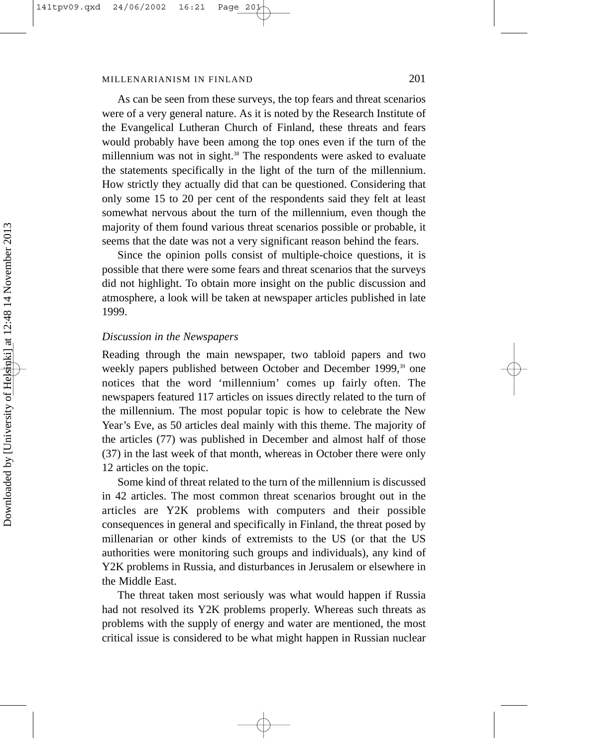As can be seen from these surveys, the top fears and threat scenarios were of a very general nature. As it is noted by the Research Institute of the Evangelical Lutheran Church of Finland, these threats and fears would probably have been among the top ones even if the turn of the millennium was not in sight.<sup>38</sup> The respondents were asked to evaluate the statements specifically in the light of the turn of the millennium. How strictly they actually did that can be questioned. Considering that only some 15 to 20 per cent of the respondents said they felt at least somewhat nervous about the turn of the millennium, even though the majority of them found various threat scenarios possible or probable, it seems that the date was not a very significant reason behind the fears.

Since the opinion polls consist of multiple-choice questions, it is possible that there were some fears and threat scenarios that the surveys did not highlight. To obtain more insight on the public discussion and atmosphere, a look will be taken at newspaper articles published in late 1999.

#### *Discussion in the Newspapers*

Reading through the main newspaper, two tabloid papers and two weekly papers published between October and December 1999,<sup>39</sup> one notices that the word 'millennium' comes up fairly often. The newspapers featured 117 articles on issues directly related to the turn of the millennium. The most popular topic is how to celebrate the New Year's Eve, as 50 articles deal mainly with this theme. The majority of the articles (77) was published in December and almost half of those (37) in the last week of that month, whereas in October there were only 12 articles on the topic.

Some kind of threat related to the turn of the millennium is discussed in 42 articles. The most common threat scenarios brought out in the articles are Y2K problems with computers and their possible consequences in general and specifically in Finland, the threat posed by millenarian or other kinds of extremists to the US (or that the US authorities were monitoring such groups and individuals), any kind of Y2K problems in Russia, and disturbances in Jerusalem or elsewhere in the Middle East.

The threat taken most seriously was what would happen if Russia had not resolved its Y2K problems properly. Whereas such threats as problems with the supply of energy and water are mentioned, the most critical issue is considered to be what might happen in Russian nuclear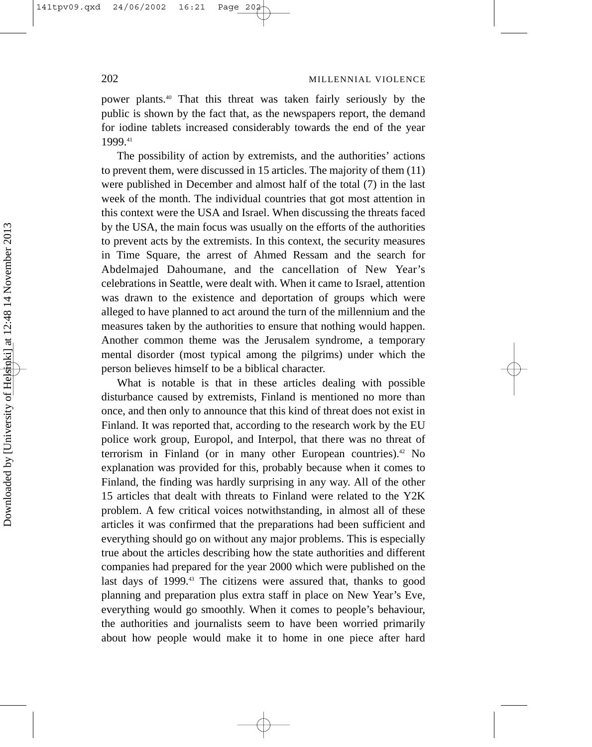power plants.40 That this threat was taken fairly seriously by the public is shown by the fact that, as the newspapers report, the demand for iodine tablets increased considerably towards the end of the year 1999.41

The possibility of action by extremists, and the authorities' actions to prevent them, were discussed in 15 articles. The majority of them (11) were published in December and almost half of the total (7) in the last week of the month. The individual countries that got most attention in this context were the USA and Israel. When discussing the threats faced by the USA, the main focus was usually on the efforts of the authorities to prevent acts by the extremists. In this context, the security measures in Time Square, the arrest of Ahmed Ressam and the search for Abdelmajed Dahoumane, and the cancellation of New Year's celebrations in Seattle, were dealt with. When it came to Israel, attention was drawn to the existence and deportation of groups which were alleged to have planned to act around the turn of the millennium and the measures taken by the authorities to ensure that nothing would happen. Another common theme was the Jerusalem syndrome, a temporary mental disorder (most typical among the pilgrims) under which the person believes himself to be a biblical character.

What is notable is that in these articles dealing with possible disturbance caused by extremists, Finland is mentioned no more than once, and then only to announce that this kind of threat does not exist in Finland. It was reported that, according to the research work by the EU police work group, Europol, and Interpol, that there was no threat of terrorism in Finland (or in many other European countries). $42$  No explanation was provided for this, probably because when it comes to Finland, the finding was hardly surprising in any way. All of the other 15 articles that dealt with threats to Finland were related to the Y2K problem. A few critical voices notwithstanding, in almost all of these articles it was confirmed that the preparations had been sufficient and everything should go on without any major problems. This is especially true about the articles describing how the state authorities and different companies had prepared for the year 2000 which were published on the last days of 1999.<sup>43</sup> The citizens were assured that, thanks to good planning and preparation plus extra staff in place on New Year's Eve, everything would go smoothly. When it comes to people's behaviour, the authorities and journalists seem to have been worried primarily about how people would make it to home in one piece after hard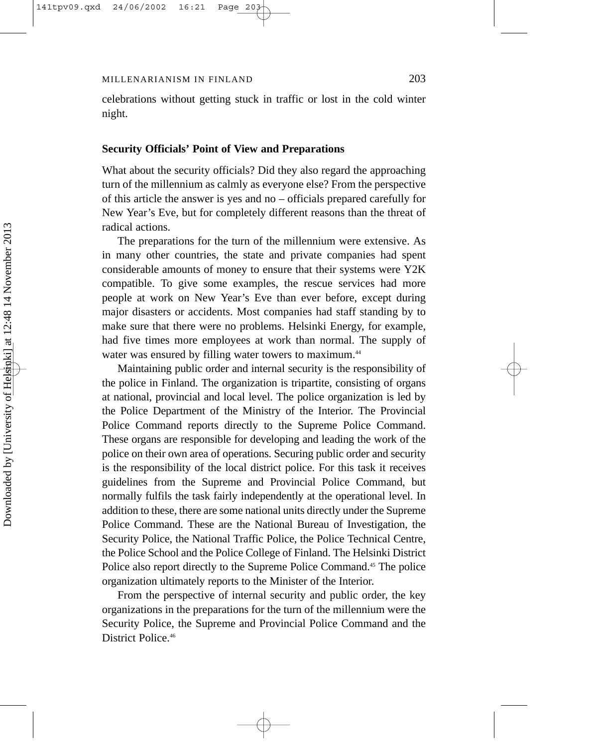celebrations without getting stuck in traffic or lost in the cold winter night.

#### **Security Officials' Point of View and Preparations**

What about the security officials? Did they also regard the approaching turn of the millennium as calmly as everyone else? From the perspective of this article the answer is yes and no – officials prepared carefully for New Year's Eve, but for completely different reasons than the threat of radical actions.

The preparations for the turn of the millennium were extensive. As in many other countries, the state and private companies had spent considerable amounts of money to ensure that their systems were Y2K compatible. To give some examples, the rescue services had more people at work on New Year's Eve than ever before, except during major disasters or accidents. Most companies had staff standing by to make sure that there were no problems. Helsinki Energy, for example, had five times more employees at work than normal. The supply of water was ensured by filling water towers to maximum.<sup>44</sup>

Maintaining public order and internal security is the responsibility of the police in Finland. The organization is tripartite, consisting of organs at national, provincial and local level. The police organization is led by the Police Department of the Ministry of the Interior. The Provincial Police Command reports directly to the Supreme Police Command. These organs are responsible for developing and leading the work of the police on their own area of operations. Securing public order and security is the responsibility of the local district police. For this task it receives guidelines from the Supreme and Provincial Police Command, but normally fulfils the task fairly independently at the operational level. In addition to these, there are some national units directly under the Supreme Police Command. These are the National Bureau of Investigation, the Security Police, the National Traffic Police, the Police Technical Centre, the Police School and the Police College of Finland. The Helsinki District Police also report directly to the Supreme Police Command.<sup>45</sup> The police organization ultimately reports to the Minister of the Interior.

From the perspective of internal security and public order, the key organizations in the preparations for the turn of the millennium were the Security Police, the Supreme and Provincial Police Command and the District Police.46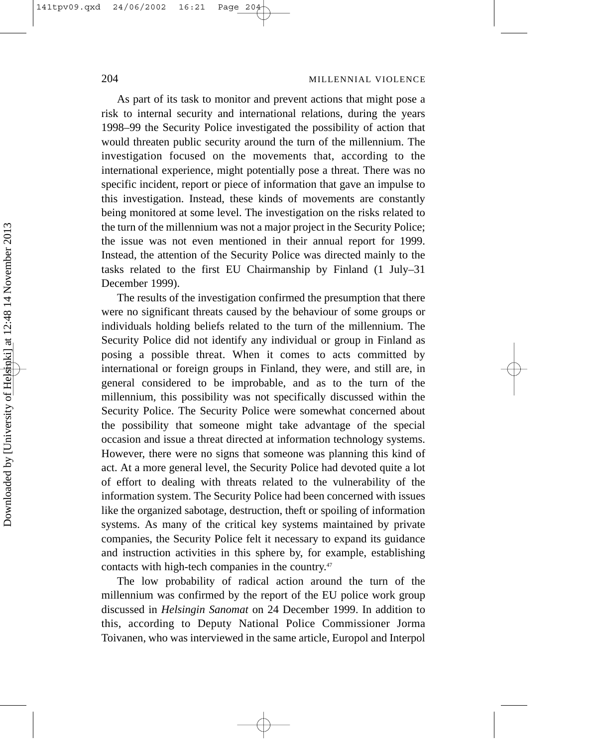As part of its task to monitor and prevent actions that might pose a risk to internal security and international relations, during the years 1998–99 the Security Police investigated the possibility of action that would threaten public security around the turn of the millennium. The investigation focused on the movements that, according to the international experience, might potentially pose a threat. There was no specific incident, report or piece of information that gave an impulse to this investigation. Instead, these kinds of movements are constantly being monitored at some level. The investigation on the risks related to the turn of the millennium was not a major project in the Security Police; the issue was not even mentioned in their annual report for 1999. Instead, the attention of the Security Police was directed mainly to the tasks related to the first EU Chairmanship by Finland (1 July–31 December 1999).

The results of the investigation confirmed the presumption that there were no significant threats caused by the behaviour of some groups or individuals holding beliefs related to the turn of the millennium. The Security Police did not identify any individual or group in Finland as posing a possible threat. When it comes to acts committed by international or foreign groups in Finland, they were, and still are, in general considered to be improbable, and as to the turn of the millennium, this possibility was not specifically discussed within the Security Police. The Security Police were somewhat concerned about the possibility that someone might take advantage of the special occasion and issue a threat directed at information technology systems. However, there were no signs that someone was planning this kind of act. At a more general level, the Security Police had devoted quite a lot of effort to dealing with threats related to the vulnerability of the information system. The Security Police had been concerned with issues like the organized sabotage, destruction, theft or spoiling of information systems. As many of the critical key systems maintained by private companies, the Security Police felt it necessary to expand its guidance and instruction activities in this sphere by, for example, establishing contacts with high-tech companies in the country.<sup>47</sup>

The low probability of radical action around the turn of the millennium was confirmed by the report of the EU police work group discussed in *Helsingin Sanomat* on 24 December 1999. In addition to this, according to Deputy National Police Commissioner Jorma Toivanen, who was interviewed in the same article, Europol and Interpol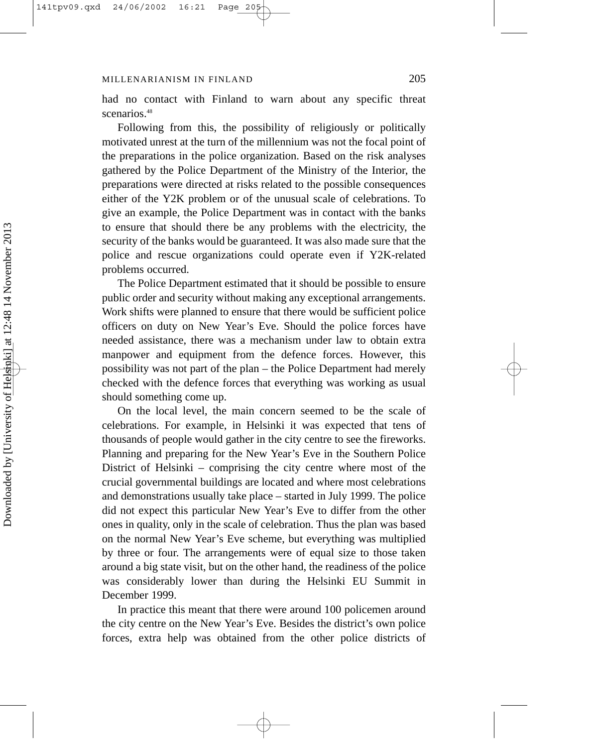141tpv09.qxd 24/06/2002 16:21 Page 205

had no contact with Finland to warn about any specific threat scenarios.<sup>48</sup>

Following from this, the possibility of religiously or politically motivated unrest at the turn of the millennium was not the focal point of the preparations in the police organization. Based on the risk analyses gathered by the Police Department of the Ministry of the Interior, the preparations were directed at risks related to the possible consequences either of the Y2K problem or of the unusual scale of celebrations. To give an example, the Police Department was in contact with the banks to ensure that should there be any problems with the electricity, the security of the banks would be guaranteed. It was also made sure that the police and rescue organizations could operate even if Y2K-related problems occurred.

The Police Department estimated that it should be possible to ensure public order and security without making any exceptional arrangements. Work shifts were planned to ensure that there would be sufficient police officers on duty on New Year's Eve. Should the police forces have needed assistance, there was a mechanism under law to obtain extra manpower and equipment from the defence forces. However, this possibility was not part of the plan – the Police Department had merely checked with the defence forces that everything was working as usual should something come up.

On the local level, the main concern seemed to be the scale of celebrations. For example, in Helsinki it was expected that tens of thousands of people would gather in the city centre to see the fireworks. Planning and preparing for the New Year's Eve in the Southern Police District of Helsinki – comprising the city centre where most of the crucial governmental buildings are located and where most celebrations and demonstrations usually take place – started in July 1999. The police did not expect this particular New Year's Eve to differ from the other ones in quality, only in the scale of celebration. Thus the plan was based on the normal New Year's Eve scheme, but everything was multiplied by three or four. The arrangements were of equal size to those taken around a big state visit, but on the other hand, the readiness of the police was considerably lower than during the Helsinki EU Summit in December 1999.

In practice this meant that there were around 100 policemen around the city centre on the New Year's Eve. Besides the district's own police forces, extra help was obtained from the other police districts of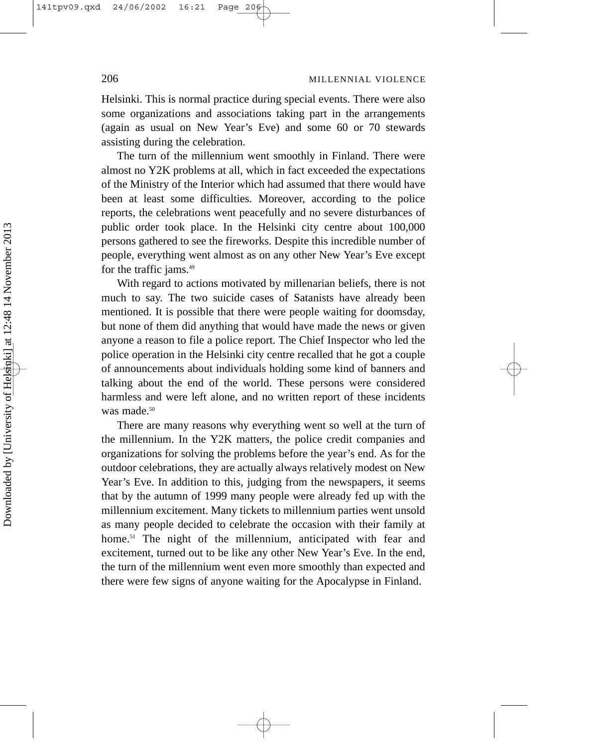Helsinki. This is normal practice during special events. There were also some organizations and associations taking part in the arrangements (again as usual on New Year's Eve) and some 60 or 70 stewards assisting during the celebration.

The turn of the millennium went smoothly in Finland. There were almost no Y2K problems at all, which in fact exceeded the expectations of the Ministry of the Interior which had assumed that there would have been at least some difficulties. Moreover, according to the police reports, the celebrations went peacefully and no severe disturbances of public order took place. In the Helsinki city centre about 100,000 persons gathered to see the fireworks. Despite this incredible number of people, everything went almost as on any other New Year's Eve except for the traffic jams.<sup>49</sup>

With regard to actions motivated by millenarian beliefs, there is not much to say. The two suicide cases of Satanists have already been mentioned. It is possible that there were people waiting for doomsday, but none of them did anything that would have made the news or given anyone a reason to file a police report. The Chief Inspector who led the police operation in the Helsinki city centre recalled that he got a couple of announcements about individuals holding some kind of banners and talking about the end of the world. These persons were considered harmless and were left alone, and no written report of these incidents was made.<sup>50</sup>

There are many reasons why everything went so well at the turn of the millennium. In the Y2K matters, the police credit companies and organizations for solving the problems before the year's end. As for the outdoor celebrations, they are actually always relatively modest on New Year's Eve. In addition to this, judging from the newspapers, it seems that by the autumn of 1999 many people were already fed up with the millennium excitement. Many tickets to millennium parties went unsold as many people decided to celebrate the occasion with their family at home.<sup>51</sup> The night of the millennium, anticipated with fear and excitement, turned out to be like any other New Year's Eve. In the end, the turn of the millennium went even more smoothly than expected and there were few signs of anyone waiting for the Apocalypse in Finland.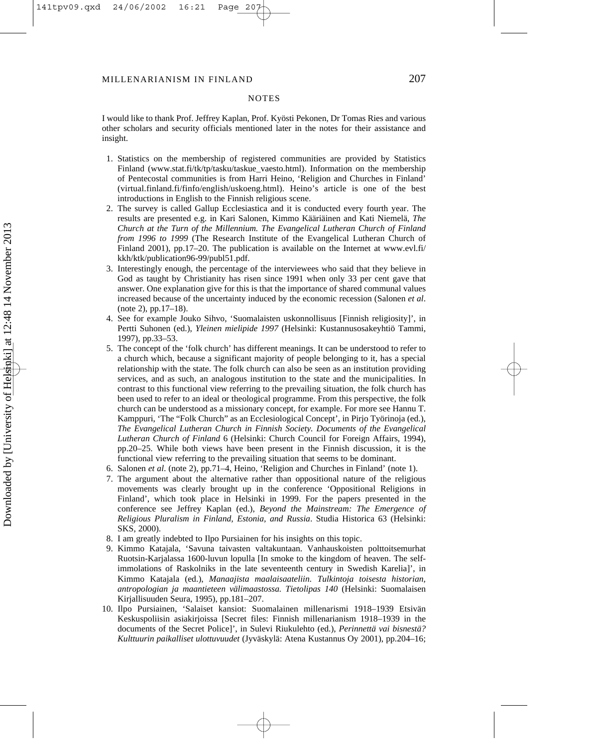#### **NOTES**

I would like to thank Prof. Jeffrey Kaplan, Prof. Kyösti Pekonen, Dr Tomas Ries and various other scholars and security officials mentioned later in the notes for their assistance and insight.

- 1. Statistics on the membership of registered communities are provided by Statistics Finland (www.stat.fi/tk/tp/tasku/taskue\_vaesto.html). Information on the membership of Pentecostal communities is from Harri Heino, 'Religion and Churches in Finland' (virtual.finland.fi/finfo/english/uskoeng.html). Heino's article is one of the best introductions in English to the Finnish religious scene.
- 2. The survey is called Gallup Ecclesiastica and it is conducted every fourth year. The results are presented e.g. in Kari Salonen, Kimmo Kääriäinen and Kati Niemelä, *The Church at the Turn of the Millennium. The Evangelical Lutheran Church of Finland from 1996 to 1999* (The Research Institute of the Evangelical Lutheran Church of Finland 2001), pp.17–20. The publication is available on the Internet at www.evl.fi kkh/ktk/publication96-99/publ51.pdf.
- 3. Interestingly enough, the percentage of the interviewees who said that they believe in God as taught by Christianity has risen since 1991 when only 33 per cent gave that answer. One explanation give for this is that the importance of shared communal values increased because of the uncertainty induced by the economic recession (Salonen *et al*. (note 2), pp.17–18).
- 4. See for example Jouko Sihvo, 'Suomalaisten uskonnollisuus [Finnish religiosity]', in Pertti Suhonen (ed.), *Yleinen mielipide 1997* (Helsinki: Kustannusosakeyhtiö Tammi, 1997), pp.33–53.
- 5. The concept of the 'folk church' has different meanings. It can be understood to refer to a church which, because a significant majority of people belonging to it, has a special relationship with the state. The folk church can also be seen as an institution providing services, and as such, an analogous institution to the state and the municipalities. In contrast to this functional view referring to the prevailing situation, the folk church has been used to refer to an ideal or theological programme. From this perspective, the folk church can be understood as a missionary concept, for example. For more see Hannu T. Kamppuri, 'The "Folk Church" as an Ecclesiological Concept', in Pirjo Työrinoja (ed.), *The Evangelical Lutheran Church in Finnish Society. Documents of the Evangelical Lutheran Church of Finland* 6 (Helsinki: Church Council for Foreign Affairs, 1994), pp.20–25. While both views have been present in the Finnish discussion, it is the functional view referring to the prevailing situation that seems to be dominant.
- 6. Salonen *et al*. (note 2), pp.71–4, Heino, 'Religion and Churches in Finland' (note 1).
- 7. The argument about the alternative rather than oppositional nature of the religious movements was clearly brought up in the conference 'Oppositional Religions in Finland', which took place in Helsinki in 1999. For the papers presented in the conference see Jeffrey Kaplan (ed.), *Beyond the Mainstream: The Emergence of Religious Pluralism in Finland, Estonia, and Russia*. Studia Historica 63 (Helsinki: SKS, 2000).
- 8. I am greatly indebted to Ilpo Pursiainen for his insights on this topic.
- 9. Kimmo Katajala, 'Savuna taivasten valtakuntaan. Vanhauskoisten polttoitsemurhat Ruotsin-Karjalassa 1600-luvun lopulla [In smoke to the kingdom of heaven. The selfimmolations of Raskolniks in the late seventeenth century in Swedish Karelia]', in Kimmo Katajala (ed.), *Manaajista maalaisaateliin. Tulkintoja toisesta historian, antropologian ja maantieteen välimaastossa. Tietolipas 140* (Helsinki: Suomalaisen Kirjallisuuden Seura, 1995), pp.181–207.
- 10. Ilpo Pursiainen, 'Salaiset kansiot: Suomalainen millenarismi 1918–1939 Etsivän Keskuspoliisin asiakirjoissa [Secret files: Finnish millenarianism 1918–1939 in the documents of the Secret Police]', in Sulevi Riukulehto (ed.), *Perinnettä vai bisnestä? Kulttuurin paikalliset ulottuvuudet* (Jyväskylä: Atena Kustannus Oy 2001), pp.204–16;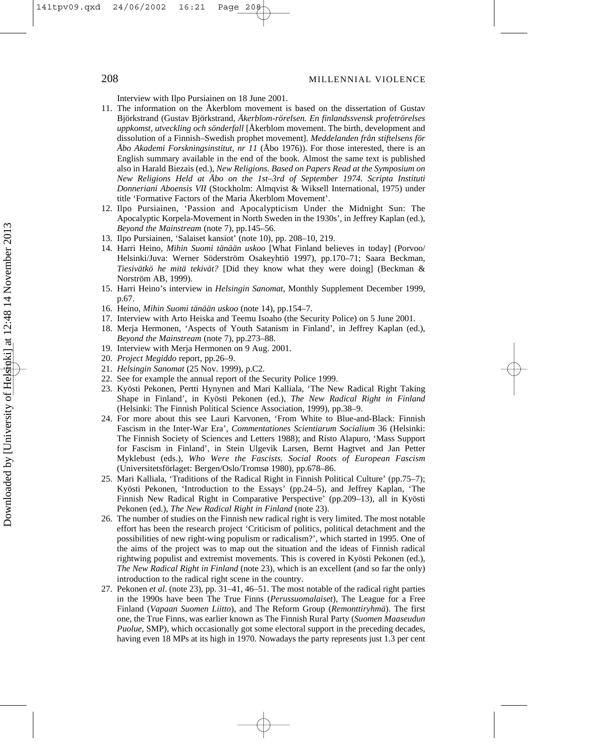Interview with Ilpo Pursiainen on 18 June 2001.

- 11. The information on the Åkerblom movement is based on the dissertation of Gustav Björkstrand (Gustav Björkstrand, *Åkerblom-rörelsen. En finlandssvensk profetrörelses uppkomst, utveckling och sönderfall* [Åkerblom movement. The birth, development and dissolution of a Finnish–Swedish prophet movement]. *Meddelanden från stiftelsens för Åbo Akademi Forskningsinstitut, nr 11* (Åbo 1976)). For those interested, there is an English summary available in the end of the book. Almost the same text is published also in Harald Biezais (ed.), *New Religions. Based on Papers Read at the Symposium on New Religions Held at Åbo on the 1st*–*3rd of September 1974. Scripta Instituti Donneriani Aboensis VII* (Stockholm: Almqvist & Wiksell International, 1975) under title 'Formative Factors of the Maria Åkerblom Movement'.
- 12. Ilpo Pursiainen, 'Passion and Apocalypticism Under the Midnight Sun: The Apocalyptic Korpela-Movement in North Sweden in the 1930s', in Jeffrey Kaplan (ed.), *Beyond the Mainstream* (note 7), pp.145–56.
- 13. Ilpo Pursiainen, 'Salaiset kansiot' (note 10), pp. 208–10, 219.
- 14. Harri Heino, *Mihin Suomi tänään uskoo* [What Finland believes in today] (Porvoo/ Helsinki/Juva: Werner Söderström Osakeyhtiö 1997), pp.170–71; Saara Beckman, *Tiesivätkö he mitä tekivät?* [Did they know what they were doing] (Beckman & Norström AB, 1999).
- 15. Harri Heino's interview in *Helsingin Sanomat*, Monthly Supplement December 1999, p.67.
- 16. Heino, *Mihin Suomi tänään uskoo* (note 14), pp.154–7.
- 17. Interview with Arto Heiska and Teemu Isoaho (the Security Police) on 5 June 2001.
- 18. Merja Hermonen, 'Aspects of Youth Satanism in Finland', in Jeffrey Kaplan (ed.), *Beyond the Mainstream* (note 7), pp.273–88.
- 19. Interview with Merja Hermonen on 9 Aug. 2001.
- 20. *Project Megiddo* report, pp.26–9.
- 21. *Helsingin Sanomat* (25 Nov. 1999), p.C2.
- 22. See for example the annual report of the Security Police 1999.
- 23. Kyösti Pekonen, Pertti Hynynen and Mari Kalliala, 'The New Radical Right Taking Shape in Finland', in Kyösti Pekonen (ed.), *The New Radical Right in Finland* (Helsinki: The Finnish Political Science Association, 1999), pp.38–9.
- 24. For more about this see Lauri Karvonen, 'From White to Blue-and-Black: Finnish Fascism in the Inter-War Era', *Commentationes Scientiarum Socialium* 36 (Helsinki: The Finnish Society of Sciences and Letters 1988); and Risto Alapuro, 'Mass Support for Fascism in Finland', in Stein Ulgevik Larsen, Bernt Hagtvet and Jan Petter Myklebust (eds.), *Who Were the Fascists. Social Roots of European Fascism* (Universitetsförlaget: Bergen/Oslo/Tromsø 1980), pp.678–86.
- 25. Mari Kalliala, 'Traditions of the Radical Right in Finnish Political Culture' (pp.75–7); Kyösti Pekonen, 'Introduction to the Essays' (pp.24–5), and Jeffrey Kaplan, 'The Finnish New Radical Right in Comparative Perspective' (pp.209–13), all in Kyösti Pekonen (ed.), *The New Radical Right in Finland* (note 23).
- 26. The number of studies on the Finnish new radical right is very limited. The most notable effort has been the research project 'Criticism of politics, political detachment and the possibilities of new right-wing populism or radicalism?', which started in 1995. One of the aims of the project was to map out the situation and the ideas of Finnish radical rightwing populist and extremist movements. This is covered in Kyösti Pekonen (ed.), *The New Radical Right in Finland* (note 23), which is an excellent (and so far the only) introduction to the radical right scene in the country.
- 27. Pekonen *et al*. (note 23), pp. 31–41, 46–51. The most notable of the radical right parties in the 1990s have been The True Finns (*Perussuomalaiset*), The League for a Free Finland (*Vapaan Suomen Liitto*), and The Reform Group (*Remonttiryhmä*). The first one, the True Finns, was earlier known as The Finnish Rural Party (*Suomen Maaseudun Puolue*, SMP), which occasionally got some electoral support in the preceding decades, having even 18 MPs at its high in 1970. Nowadays the party represents just 1.3 per cent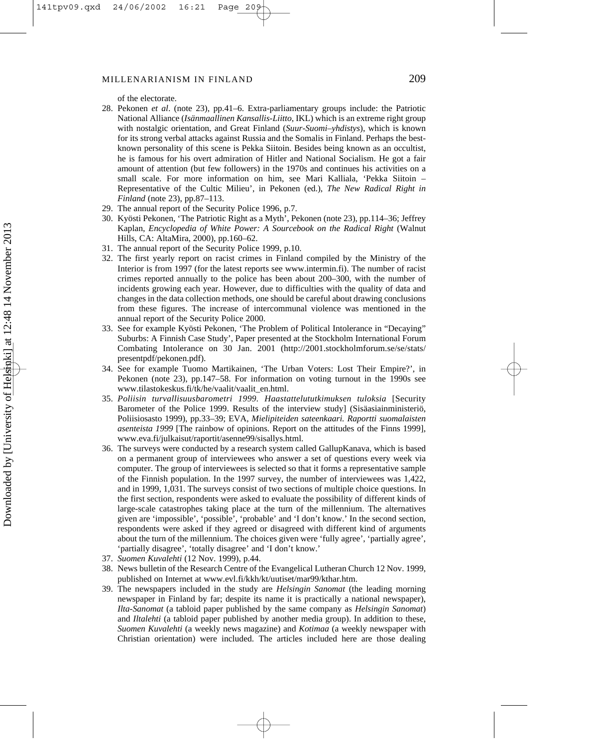of the electorate.

- 28. Pekonen *et al*. (note 23), pp.41–6. Extra-parliamentary groups include: the Patriotic National Alliance (*Isänmaallinen Kansallis-Liitto*, IKL) which is an extreme right group with nostalgic orientation, and Great Finland (*Suur-Suomi–yhdistys*), which is known for its strong verbal attacks against Russia and the Somalis in Finland. Perhaps the bestknown personality of this scene is Pekka Siitoin. Besides being known as an occultist, he is famous for his overt admiration of Hitler and National Socialism. He got a fair amount of attention (but few followers) in the 1970s and continues his activities on a small scale. For more information on him, see Mari Kalliala, 'Pekka Siitoin – Representative of the Cultic Milieu', in Pekonen (ed.), *The New Radical Right in Finland* (note 23), pp.87–113.
- 29. The annual report of the Security Police 1996, p.7.
- 30. Kyösti Pekonen, 'The Patriotic Right as a Myth', Pekonen (note 23), pp.114–36; Jeffrey Kaplan, *Encyclopedia of White Power: A Sourcebook on the Radical Right* (Walnut Hills, CA: AltaMira, 2000), pp.160–62.
- 31. The annual report of the Security Police 1999, p.10.
- 32. The first yearly report on racist crimes in Finland compiled by the Ministry of the Interior is from 1997 (for the latest reports see www.intermin.fi). The number of racist crimes reported annually to the police has been about 200–300, with the number of incidents growing each year. However, due to difficulties with the quality of data and changes in the data collection methods, one should be careful about drawing conclusions from these figures. The increase of intercommunal violence was mentioned in the annual report of the Security Police 2000.
- 33. See for example Kyösti Pekonen, 'The Problem of Political Intolerance in "Decaying" Suburbs: A Finnish Case Study', Paper presented at the Stockholm International Forum Combating Intolerance on 30 Jan. 2001 (http://2001.stockholmforum.se/se/stats/ presentpdf/pekonen.pdf).
- 34. See for example Tuomo Martikainen, 'The Urban Voters: Lost Their Empire?', in Pekonen (note 23), pp.147–58. For information on voting turnout in the 1990s see www.tilastokeskus.fi/tk/he/vaalit/vaalit\_en.html.
- 35. *Poliisin turvallisuusbarometri 1999. Haastattelututkimuksen tuloksia* [Security Barometer of the Police 1999. Results of the interview study] (Sisäasiainministeriö, Poliisiosasto 1999), pp.33–39; EVA, *Mielipiteiden sateenkaari. Raportti suomalaisten asenteista 1999* [The rainbow of opinions. Report on the attitudes of the Finns 1999], www.eva.fi/julkaisut/raportit/asenne99/sisallys.html.
- 36. The surveys were conducted by a research system called GallupKanava, which is based on a permanent group of interviewees who answer a set of questions every week via computer. The group of interviewees is selected so that it forms a representative sample of the Finnish population. In the 1997 survey, the number of interviewees was 1,422, and in 1999, 1,031. The surveys consist of two sections of multiple choice questions. In the first section, respondents were asked to evaluate the possibility of different kinds of large-scale catastrophes taking place at the turn of the millennium. The alternatives given are 'impossible', 'possible', 'probable' and 'I don't know.' In the second section, respondents were asked if they agreed or disagreed with different kind of arguments about the turn of the millennium. The choices given were 'fully agree', 'partially agree', 'partially disagree', 'totally disagree' and 'I don't know.'
- 37. *Suomen Kuvalehti* (12 Nov. 1999), p.44.
- 38. News bulletin of the Research Centre of the Evangelical Lutheran Church 12 Nov. 1999, published on Internet at www.evl.fi/kkh/kt/uutiset/mar99/kthar.htm.
- 39. The newspapers included in the study are *Helsingin Sanomat* (the leading morning newspaper in Finland by far; despite its name it is practically a national newspaper), *Ilta-Sanomat* (a tabloid paper published by the same company as *Helsingin Sanomat*) and *Iltalehti* (a tabloid paper published by another media group). In addition to these, *Suomen Kuvalehti* (a weekly news magazine) and *Kotimaa* (a weekly newspaper with Christian orientation) were included. The articles included here are those dealing